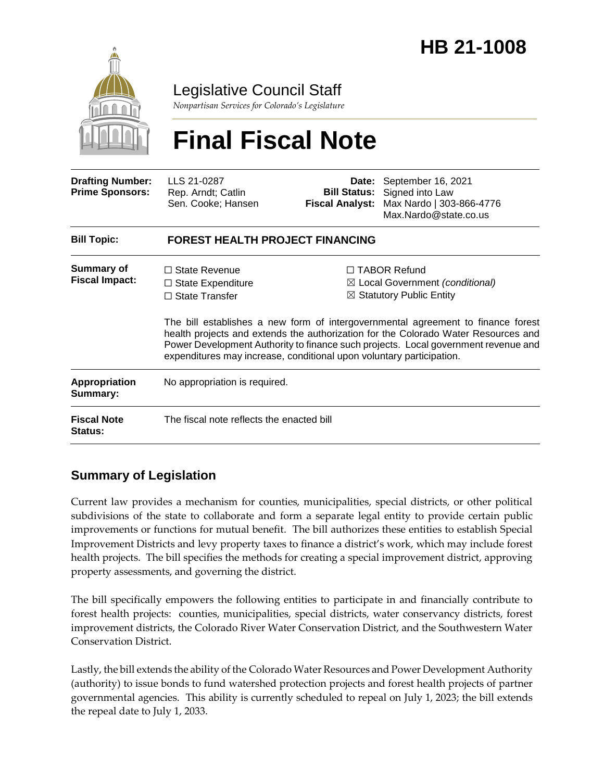

Legislative Council Staff

*Nonpartisan Services for Colorado's Legislature*

# **Final Fiscal Note**

| <b>Drafting Number:</b><br><b>Prime Sponsors:</b> | LLS 21-0287<br>Rep. Arndt; Catlin<br>Sen. Cooke; Hansen                   | Date:<br><b>Bill Status:</b><br><b>Fiscal Analyst:</b> | September 16, 2021<br>Signed into Law<br>Max Nardo   303-866-4776<br>Max.Nardo@state.co.us                                                                                                                                                                                                                                                                                                                                                       |  |
|---------------------------------------------------|---------------------------------------------------------------------------|--------------------------------------------------------|--------------------------------------------------------------------------------------------------------------------------------------------------------------------------------------------------------------------------------------------------------------------------------------------------------------------------------------------------------------------------------------------------------------------------------------------------|--|
| <b>Bill Topic:</b>                                | <b>FOREST HEALTH PROJECT FINANCING</b>                                    |                                                        |                                                                                                                                                                                                                                                                                                                                                                                                                                                  |  |
| <b>Summary of</b><br><b>Fiscal Impact:</b>        | $\Box$ State Revenue<br>$\Box$ State Expenditure<br>$\Box$ State Transfer |                                                        | $\Box$ TABOR Refund<br>$\boxtimes$ Local Government (conditional)<br>$\boxtimes$ Statutory Public Entity<br>The bill establishes a new form of intergovernmental agreement to finance forest<br>health projects and extends the authorization for the Colorado Water Resources and<br>Power Development Authority to finance such projects. Local government revenue and<br>expenditures may increase, conditional upon voluntary participation. |  |
| <b>Appropriation</b><br>Summary:                  | No appropriation is required.                                             |                                                        |                                                                                                                                                                                                                                                                                                                                                                                                                                                  |  |
| <b>Fiscal Note</b><br>Status:                     | The fiscal note reflects the enacted bill                                 |                                                        |                                                                                                                                                                                                                                                                                                                                                                                                                                                  |  |

### **Summary of Legislation**

Current law provides a mechanism for counties, municipalities, special districts, or other political subdivisions of the state to collaborate and form a separate legal entity to provide certain public improvements or functions for mutual benefit. The bill authorizes these entities to establish Special Improvement Districts and levy property taxes to finance a district's work, which may include forest health projects. The bill specifies the methods for creating a special improvement district, approving property assessments, and governing the district.

The bill specifically empowers the following entities to participate in and financially contribute to forest health projects: counties, municipalities, special districts, water conservancy districts, forest improvement districts, the Colorado River Water Conservation District, and the Southwestern Water Conservation District.

Lastly, the bill extends the ability of the Colorado Water Resources and Power Development Authority (authority) to issue bonds to fund watershed protection projects and forest health projects of partner governmental agencies. This ability is currently scheduled to repeal on July 1, 2023; the bill extends the repeal date to July 1, 2033.